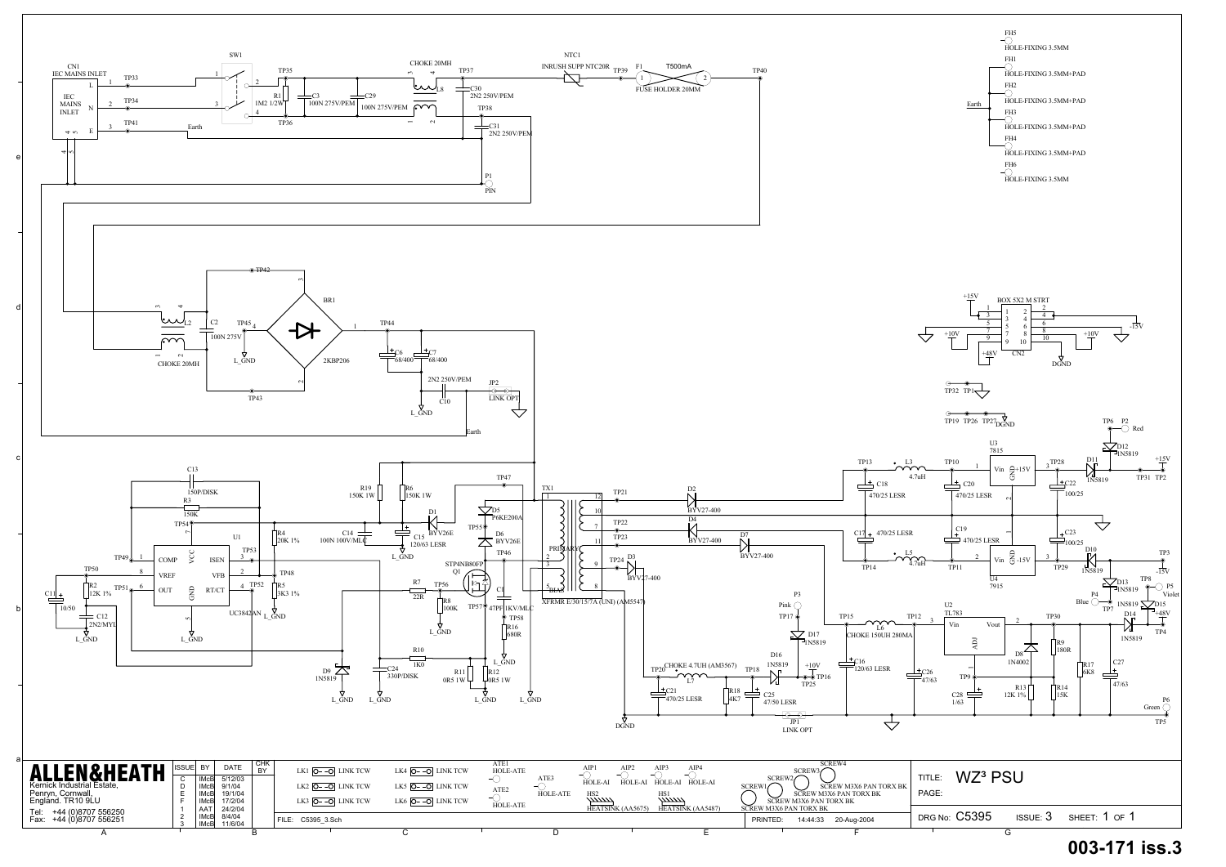